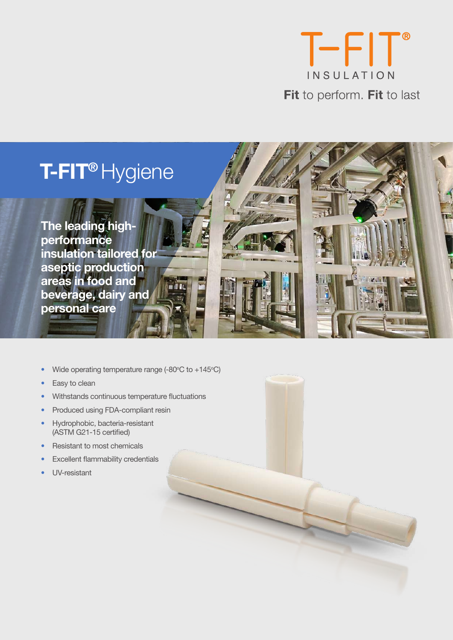

# **T-FIT®** Hygiene

**The leading highperformance insulation tailored for aseptic production areas in food and beverage, dairy and personal care**



• Wide operating temperature range  $(-80^{\circ} \text{C to } +145^{\circ} \text{C})$ 

mill 81

- Easy to clean
- Withstands continuous temperature fluctuations
- Produced using FDA-compliant resin
- Hydrophobic, bacteria-resistant (ASTM G21-15 certified)
- Resistant to most chemicals
- **Excellent flammability credentials**
- UV-resistant